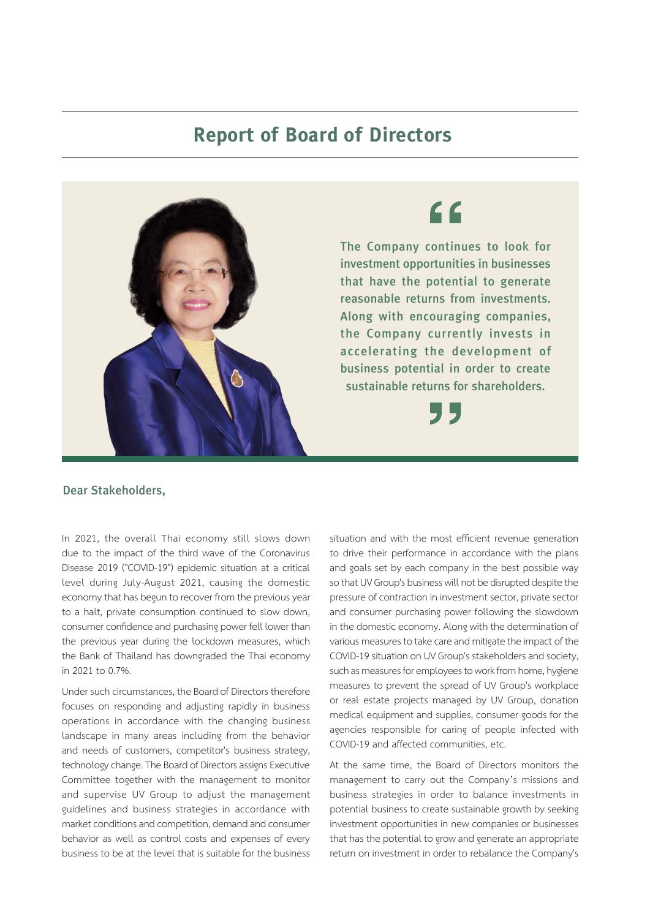## **Report of Board of Directors**



## Dear Stakeholders,

In 2021, the overall Thai economy still slows down due to the impact of the third wave of the Coronavirus Disease 2019 ("COVID-19") epidemic situation at a critical level during July-August 2021, causing the domestic economy that has begun to recover from the previous year to a halt, private consumption continued to slow down, consumer confidence and purchasing power fell lower than the previous year during the lockdown measures, which the Bank of Thailand has downgraded the Thai economy in 2021 to 0.7%.

Under such circumstances, the Board of Directors therefore focuses on responding and adjusting rapidly in business operations in accordance with the changing business landscape in many areas including from the behavior and needs of customers, competitor's business strategy, technology change. The Board of Directors assigns Executive Committee together with the management to monitor and supervise UV Group to adjust the management guidelines and business strategies in accordance with market conditions and competition, demand and consumer behavior as well as control costs and expenses of every business to be at the level that is suitable for the business

situation and with the most efficient revenue generation to drive their performance in accordance with the plans and goals set by each company in the best possible way so that UV Group's business will not be disrupted despite the pressure of contraction in investment sector, private sector and consumer purchasing power following the slowdown in the domestic economy. Along with the determination of various measures to take care and mitigate the impact of the COVID-19 situation on UV Group's stakeholders and society, such as measures for employees to work from home, hygiene measures to prevent the spread of UV Group's workplace or real estate projects managed by UV Group, donation medical equipment and supplies, consumer goods for the agencies responsible for caring of people infected with COVID-19 and affected communities, etc.

At the same time, the Board of Directors monitors the management to carry out the Company's missions and business strategies in order to balance investments in potential business to create sustainable growth by seeking investment opportunities in new companies or businesses that has the potential to grow and generate an appropriate return on investment in order to rebalance the Company's